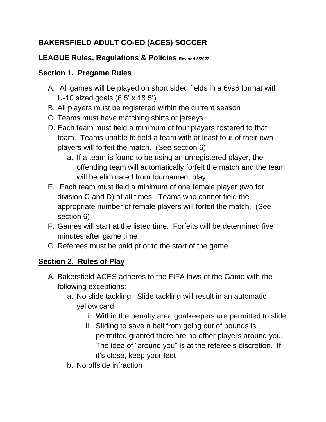# **BAKERSFIELD ADULT CO-ED (ACES) SOCCER**

# **LEAGUE Rules, Regulations & Policies Revised 5/2022**

#### **Section 1. Pregame Rules**

- A. All games will be played on short sided fields in a 6vs6 format with U-10 sized goals (6.5' x 18.5')
- B. All players must be registered within the current season
- C. Teams must have matching shirts or jerseys
- D. Each team must field a minimum of four players rostered to that team. Teams unable to field a team with at least four of their own players will forfeit the match. (See section 6)
	- a. If a team is found to be using an unregistered player, the offending team will automatically forfeit the match and the team will be eliminated from tournament play
- E. Each team must field a minimum of one female player (two for division C and D) at all times. Teams who cannot field the appropriate number of female players will forfeit the match. (See section 6)
- F. Games will start at the listed time. Forfeits will be determined five minutes after game time
- G. Referees must be paid prior to the start of the game

# **Section 2. Rules of Play**

- A. Bakersfield ACES adheres to the FIFA laws of the Game with the following exceptions:
	- a. No slide tackling. Slide tackling will result in an automatic yellow card
		- i. Within the penalty area goalkeepers are permitted to slide
		- ii. Sliding to save a ball from going out of bounds is permitted granted there are no other players around you. The idea of "around you" is at the referee's discretion. If it's close, keep your feet
	- b. No offside infraction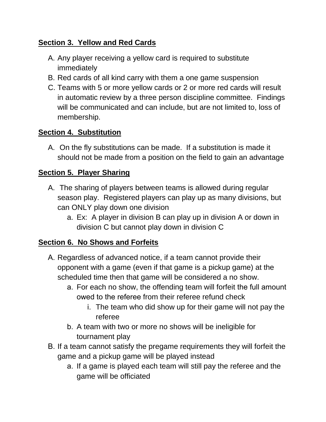# **Section 3. Yellow and Red Cards**

- A. Any player receiving a yellow card is required to substitute immediately
- B. Red cards of all kind carry with them a one game suspension
- C. Teams with 5 or more yellow cards or 2 or more red cards will result in automatic review by a three person discipline committee. Findings will be communicated and can include, but are not limited to, loss of membership.

# **Section 4. Substitution**

A. On the fly substitutions can be made. If a substitution is made it should not be made from a position on the field to gain an advantage

# **Section 5. Player Sharing**

- A. The sharing of players between teams is allowed during regular season play. Registered players can play up as many divisions, but can ONLY play down one division
	- a. Ex: A player in division B can play up in division A or down in division C but cannot play down in division C

# **Section 6. No Shows and Forfeits**

- A. Regardless of advanced notice, if a team cannot provide their opponent with a game (even if that game is a pickup game) at the scheduled time then that game will be considered a no show.
	- a. For each no show, the offending team will forfeit the full amount owed to the referee from their referee refund check
		- i. The team who did show up for their game will not pay the referee
	- b. A team with two or more no shows will be ineligible for tournament play
- B. If a team cannot satisfy the pregame requirements they will forfeit the game and a pickup game will be played instead
	- a. If a game is played each team will still pay the referee and the game will be officiated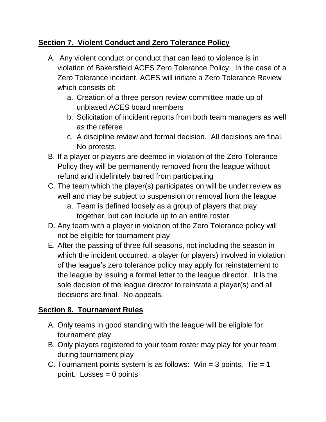#### **Section 7. Violent Conduct and Zero Tolerance Policy**

- A. Any violent conduct or conduct that can lead to violence is in violation of Bakersfield ACES Zero Tolerance Policy. In the case of a Zero Tolerance incident, ACES will initiate a Zero Tolerance Review which consists of:
	- a. Creation of a three person review committee made up of unbiased ACES board members
	- b. Solicitation of incident reports from both team managers as well as the referee
	- c. A discipline review and formal decision. All decisions are final. No protests.
- B. If a player or players are deemed in violation of the Zero Tolerance Policy they will be permanently removed from the league without refund and indefinitely barred from participating
- C. The team which the player(s) participates on will be under review as well and may be subject to suspension or removal from the league
	- a. Team is defined loosely as a group of players that play together, but can include up to an entire roster.
- D. Any team with a player in violation of the Zero Tolerance policy will not be eligible for tournament play
- E. After the passing of three full seasons, not including the season in which the incident occurred, a player (or players) involved in violation of the league's zero tolerance policy may apply for reinstatement to the league by issuing a formal letter to the league director. It is the sole decision of the league director to reinstate a player(s) and all decisions are final. No appeals.

# **Section 8. Tournament Rules**

- A. Only teams in good standing with the league will be eligible for tournament play
- B. Only players registered to your team roster may play for your team during tournament play
- C. Tournament points system is as follows:  $Win = 3$  points. Tie = 1 point. Losses  $= 0$  points